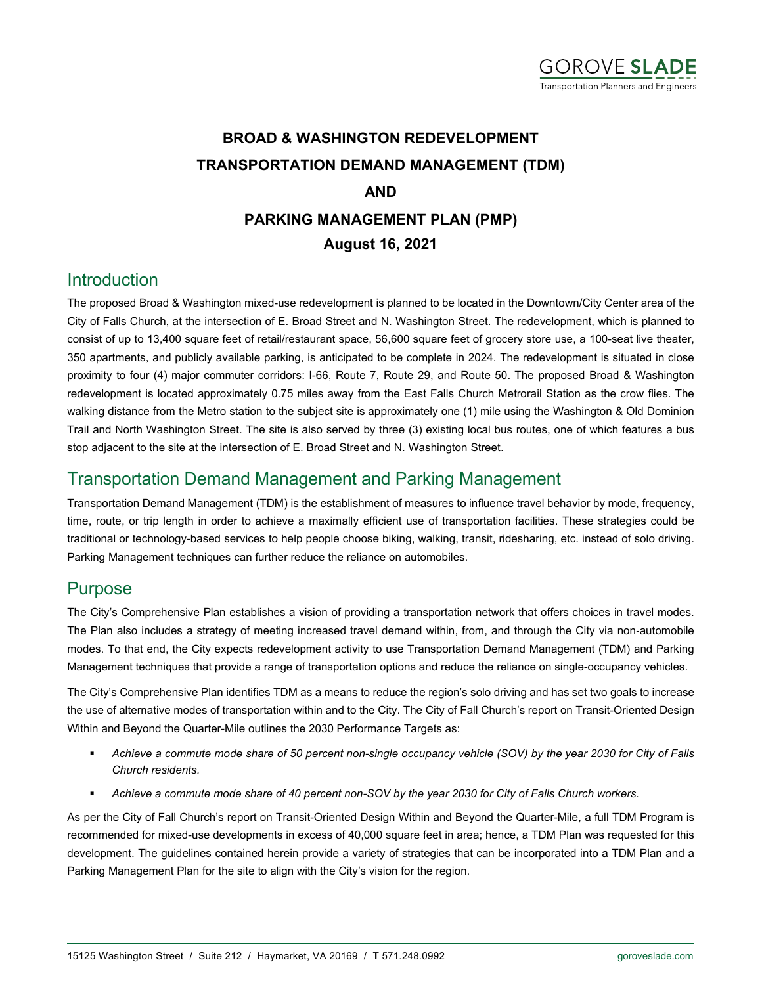

# **BROAD & WASHINGTON REDEVELOPMENT TRANSPORTATION DEMAND MANAGEMENT (TDM) AND PARKING MANAGEMENT PLAN (PMP) August 16, 2021**

### Introduction

The proposed Broad & Washington mixed-use redevelopment is planned to be located in the Downtown/City Center area of the City of Falls Church, at the intersection of E. Broad Street and N. Washington Street. The redevelopment, which is planned to consist of up to 13,400 square feet of retail/restaurant space, 56,600 square feet of grocery store use, a 100-seat live theater, 350 apartments, and publicly available parking, is anticipated to be complete in 2024. The redevelopment is situated in close proximity to four (4) major commuter corridors: I-66, Route 7, Route 29, and Route 50. The proposed Broad & Washington redevelopment is located approximately 0.75 miles away from the East Falls Church Metrorail Station as the crow flies. The walking distance from the Metro station to the subject site is approximately one (1) mile using the Washington & Old Dominion Trail and North Washington Street. The site is also served by three (3) existing local bus routes, one of which features a bus stop adjacent to the site at the intersection of E. Broad Street and N. Washington Street.

### Transportation Demand Management and Parking Management

Transportation Demand Management (TDM) is the establishment of measures to influence travel behavior by mode, frequency, time, route, or trip length in order to achieve a maximally efficient use of transportation facilities. These strategies could be traditional or technology-based services to help people choose biking, walking, transit, ridesharing, etc. instead of solo driving. Parking Management techniques can further reduce the reliance on automobiles.

### Purpose

The City's Comprehensive Plan establishes a vision of providing a transportation network that offers choices in travel modes. The Plan also includes a strategy of meeting increased travel demand within, from, and through the City via non‐automobile modes. To that end, the City expects redevelopment activity to use Transportation Demand Management (TDM) and Parking Management techniques that provide a range of transportation options and reduce the reliance on single-occupancy vehicles.

The City's Comprehensive Plan identifies TDM as a means to reduce the region's solo driving and has set two goals to increase the use of alternative modes of transportation within and to the City. The City of Fall Church's report on Transit-Oriented Design Within and Beyond the Quarter-Mile outlines the 2030 Performance Targets as:

- *Achieve a commute mode share of 50 percent non-single occupancy vehicle (SOV) by the year 2030 for City of Falls Church residents.*
- *Achieve a commute mode share of 40 percent non-SOV by the year 2030 for City of Falls Church workers.*

As per the City of Fall Church's report on Transit-Oriented Design Within and Beyond the Quarter-Mile, a full TDM Program is recommended for mixed-use developments in excess of 40,000 square feet in area; hence, a TDM Plan was requested for this development. The guidelines contained herein provide a variety of strategies that can be incorporated into a TDM Plan and a Parking Management Plan for the site to align with the City's vision for the region.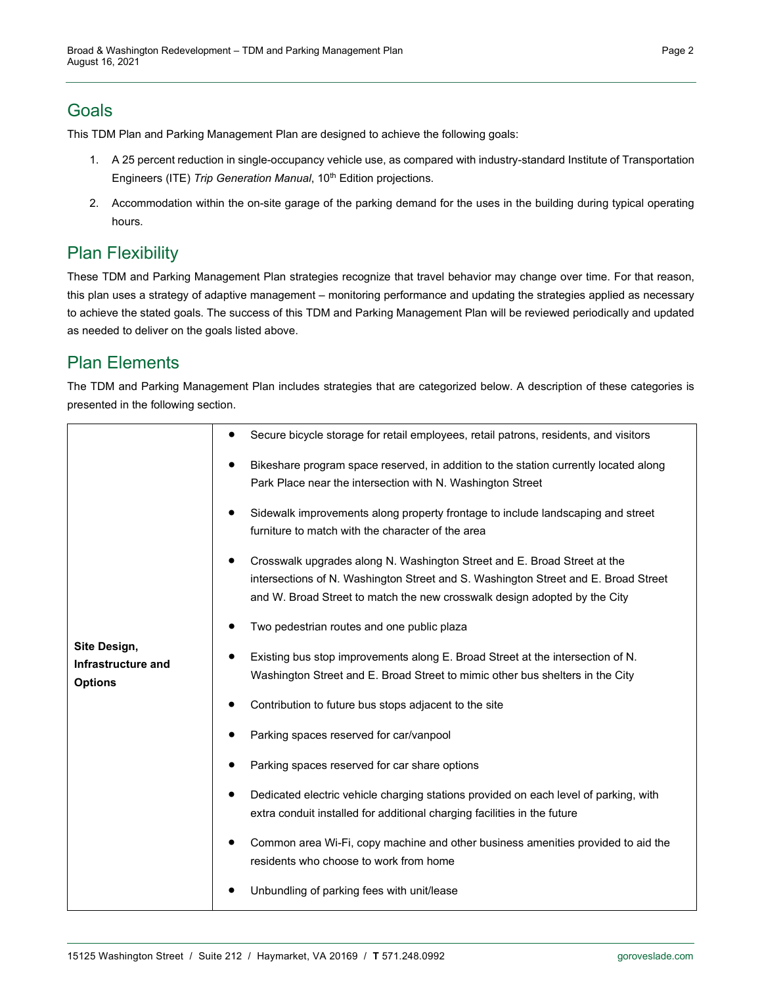## Goals

This TDM Plan and Parking Management Plan are designed to achieve the following goals:

- 1. A 25 percent reduction in single-occupancy vehicle use, as compared with industry-standard Institute of Transportation Engineers (ITE) *Trip Generation Manual*, 10<sup>th</sup> Edition projections.
- 2. Accommodation within the on-site garage of the parking demand for the uses in the building during typical operating hours.

# Plan Flexibility

These TDM and Parking Management Plan strategies recognize that travel behavior may change over time. For that reason, this plan uses a strategy of adaptive management – monitoring performance and updating the strategies applied as necessary to achieve the stated goals. The success of this TDM and Parking Management Plan will be reviewed periodically and updated as needed to deliver on the goals listed above.

# Plan Elements

The TDM and Parking Management Plan includes strategies that are categorized below. A description of these categories is presented in the following section.

| Site Design,<br>Infrastructure and<br><b>Options</b> | Secure bicycle storage for retail employees, retail patrons, residents, and visitors                                                                                                                                                        |
|------------------------------------------------------|---------------------------------------------------------------------------------------------------------------------------------------------------------------------------------------------------------------------------------------------|
|                                                      | Bikeshare program space reserved, in addition to the station currently located along<br>Park Place near the intersection with N. Washington Street                                                                                          |
|                                                      | Sidewalk improvements along property frontage to include landscaping and street<br>furniture to match with the character of the area                                                                                                        |
|                                                      | Crosswalk upgrades along N. Washington Street and E. Broad Street at the<br>intersections of N. Washington Street and S. Washington Street and E. Broad Street<br>and W. Broad Street to match the new crosswalk design adopted by the City |
|                                                      | Two pedestrian routes and one public plaza                                                                                                                                                                                                  |
|                                                      | Existing bus stop improvements along E. Broad Street at the intersection of N.<br>Washington Street and E. Broad Street to mimic other bus shelters in the City                                                                             |
|                                                      | Contribution to future bus stops adjacent to the site                                                                                                                                                                                       |
|                                                      | Parking spaces reserved for car/vanpool                                                                                                                                                                                                     |
|                                                      | Parking spaces reserved for car share options                                                                                                                                                                                               |
|                                                      | Dedicated electric vehicle charging stations provided on each level of parking, with<br>extra conduit installed for additional charging facilities in the future                                                                            |
|                                                      | Common area Wi-Fi, copy machine and other business amenities provided to aid the<br>residents who choose to work from home                                                                                                                  |
|                                                      | Unbundling of parking fees with unit/lease                                                                                                                                                                                                  |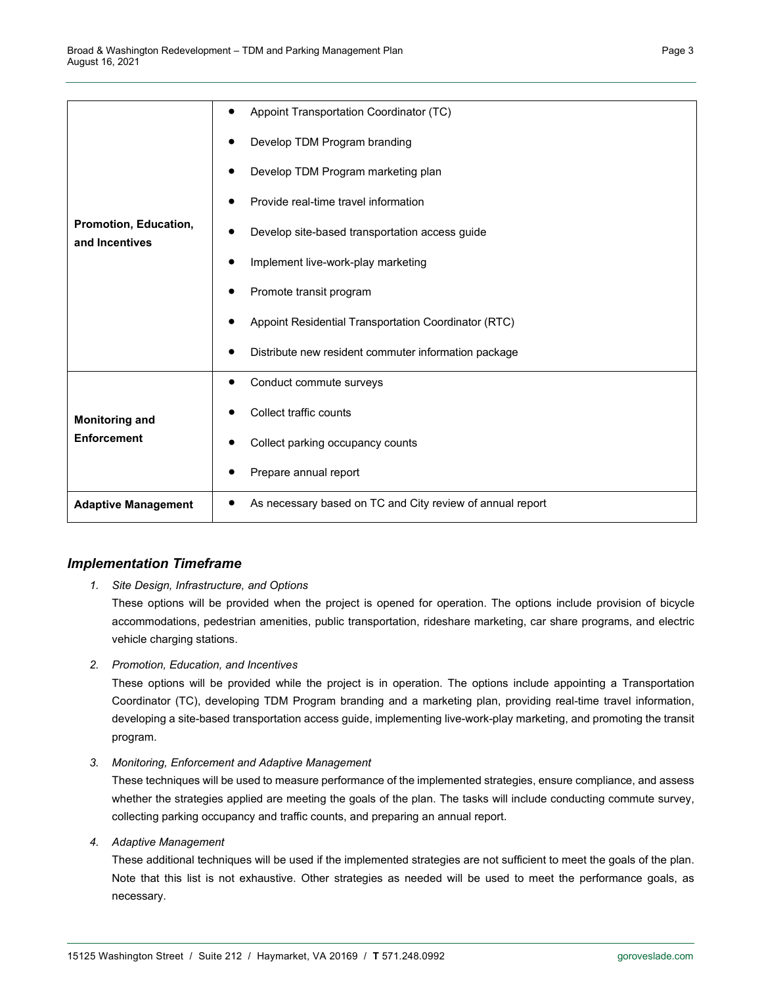| Promotion, Education,<br>and Incentives     | Appoint Transportation Coordinator (TC)<br>$\bullet$      |
|---------------------------------------------|-----------------------------------------------------------|
|                                             | Develop TDM Program branding                              |
|                                             | Develop TDM Program marketing plan                        |
|                                             | Provide real-time travel information                      |
|                                             | Develop site-based transportation access guide            |
|                                             | Implement live-work-play marketing                        |
|                                             | Promote transit program                                   |
|                                             | Appoint Residential Transportation Coordinator (RTC)      |
|                                             | Distribute new resident commuter information package      |
| <b>Monitoring and</b><br><b>Enforcement</b> | Conduct commute surveys<br>٠                              |
|                                             | Collect traffic counts                                    |
|                                             | Collect parking occupancy counts                          |
|                                             | Prepare annual report                                     |
| <b>Adaptive Management</b>                  | As necessary based on TC and City review of annual report |

#### *Implementation Timeframe*

#### *1. Site Design, Infrastructure, and Options*

These options will be provided when the project is opened for operation. The options include provision of bicycle accommodations, pedestrian amenities, public transportation, rideshare marketing, car share programs, and electric vehicle charging stations.

*2. Promotion, Education, and Incentives*

These options will be provided while the project is in operation. The options include appointing a Transportation Coordinator (TC), developing TDM Program branding and a marketing plan, providing real-time travel information, developing a site-based transportation access guide, implementing live-work-play marketing, and promoting the transit program.

*3. Monitoring, Enforcement and Adaptive Management*

These techniques will be used to measure performance of the implemented strategies, ensure compliance, and assess whether the strategies applied are meeting the goals of the plan. The tasks will include conducting commute survey, collecting parking occupancy and traffic counts, and preparing an annual report.

*4. Adaptive Management*

These additional techniques will be used if the implemented strategies are not sufficient to meet the goals of the plan. Note that this list is not exhaustive. Other strategies as needed will be used to meet the performance goals, as necessary.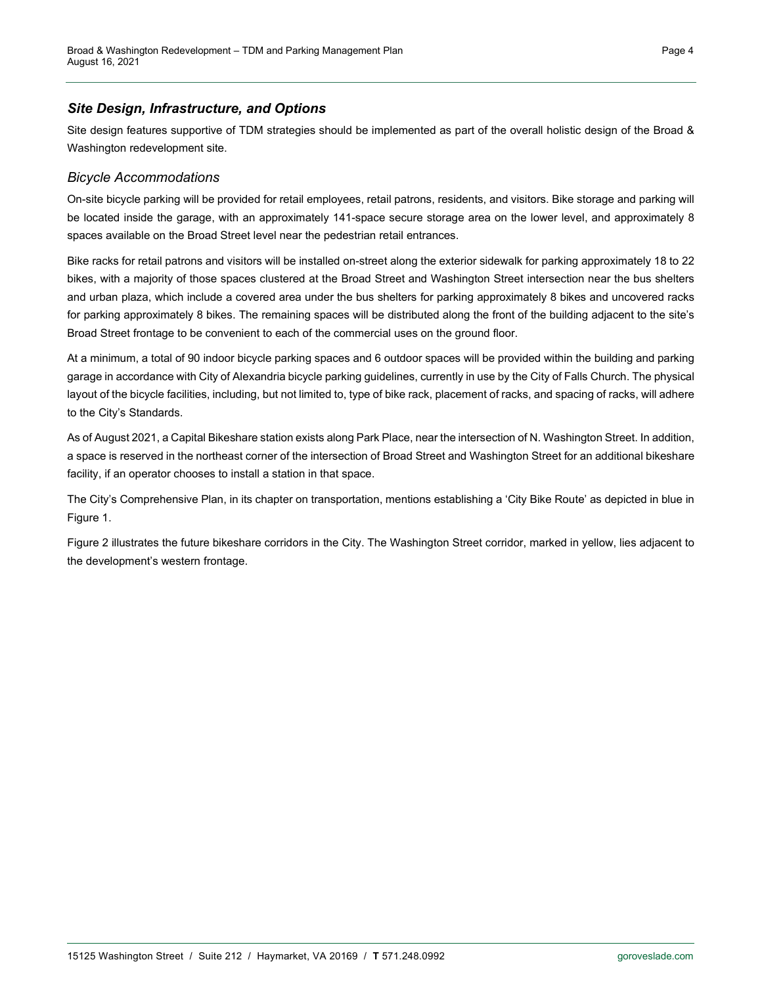#### *Site Design, Infrastructure, and Options*

Site design features supportive of TDM strategies should be implemented as part of the overall holistic design of the Broad & Washington redevelopment site.

#### *Bicycle Accommodations*

On-site bicycle parking will be provided for retail employees, retail patrons, residents, and visitors. Bike storage and parking will be located inside the garage, with an approximately 141-space secure storage area on the lower level, and approximately 8 spaces available on the Broad Street level near the pedestrian retail entrances.

Bike racks for retail patrons and visitors will be installed on-street along the exterior sidewalk for parking approximately 18 to 22 bikes, with a majority of those spaces clustered at the Broad Street and Washington Street intersection near the bus shelters and urban plaza, which include a covered area under the bus shelters for parking approximately 8 bikes and uncovered racks for parking approximately 8 bikes. The remaining spaces will be distributed along the front of the building adjacent to the site's Broad Street frontage to be convenient to each of the commercial uses on the ground floor.

At a minimum, a total of 90 indoor bicycle parking spaces and 6 outdoor spaces will be provided within the building and parking garage in accordance with City of Alexandria bicycle parking guidelines, currently in use by the City of Falls Church. The physical layout of the bicycle facilities, including, but not limited to, type of bike rack, placement of racks, and spacing of racks, will adhere to the City's Standards.

As of August 2021, a Capital Bikeshare station exists along Park Place, near the intersection of N. Washington Street. In addition, a space is reserved in the northeast corner of the intersection of Broad Street and Washington Street for an additional bikeshare facility, if an operator chooses to install a station in that space.

The City's Comprehensive Plan, in its chapter on transportation, mentions establishing a 'City Bike Route' as depicted in blue in [Figure 1.](#page-4-0)

[Figure 2](#page-4-1) illustrates the future bikeshare corridors in the City. The Washington Street corridor, marked in yellow, lies adjacent to the development's western frontage.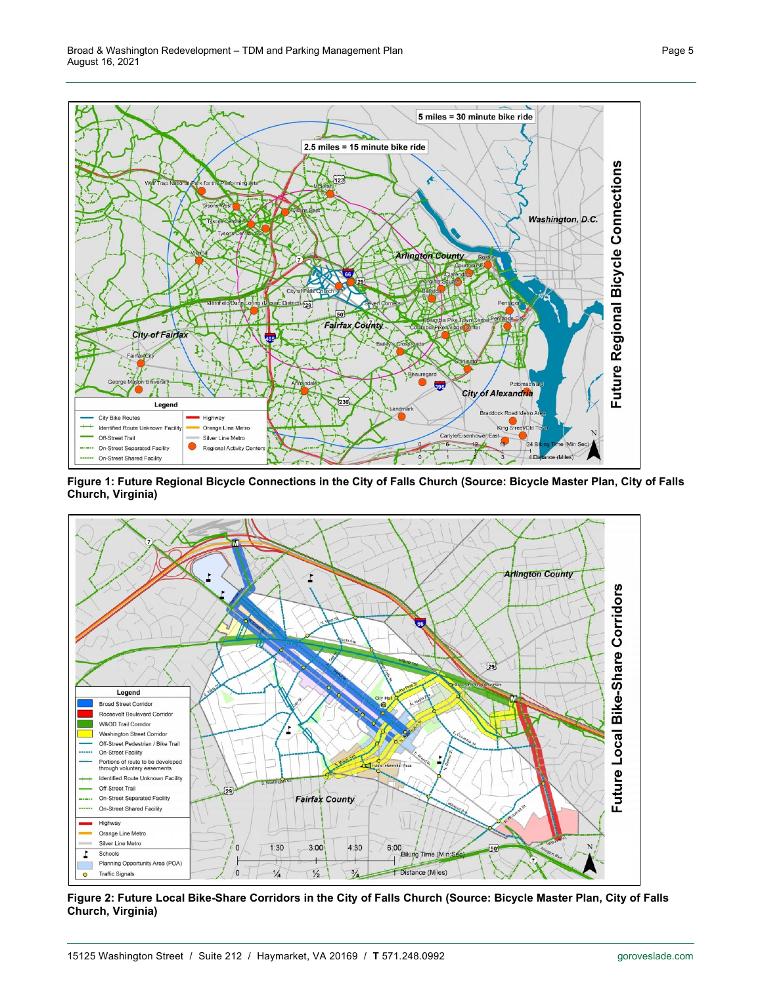

<span id="page-4-0"></span>**Figure 1: Future Regional Bicycle Connections in the City of Falls Church (Source: Bicycle Master Plan, City of Falls Church, Virginia)**



<span id="page-4-1"></span>**Figure 2: Future Local Bike-Share Corridors in the City of Falls Church (Source: Bicycle Master Plan, City of Falls Church, Virginia)**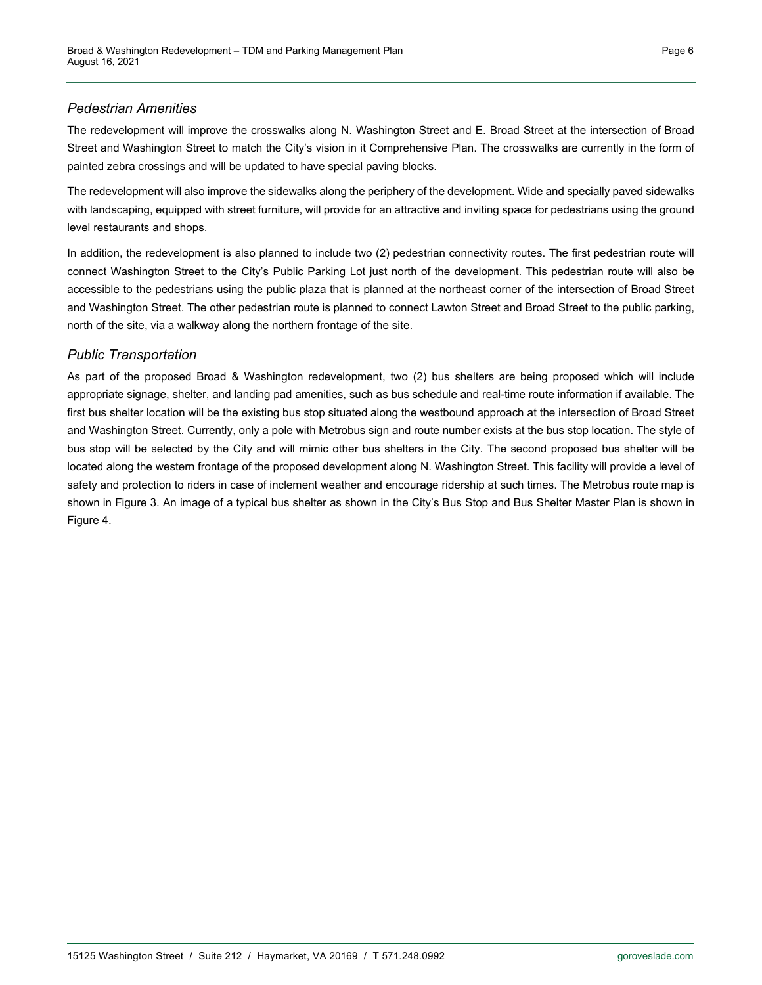#### *Pedestrian Amenities*

The redevelopment will improve the crosswalks along N. Washington Street and E. Broad Street at the intersection of Broad Street and Washington Street to match the City's vision in it Comprehensive Plan. The crosswalks are currently in the form of painted zebra crossings and will be updated to have special paving blocks.

The redevelopment will also improve the sidewalks along the periphery of the development. Wide and specially paved sidewalks with landscaping, equipped with street furniture, will provide for an attractive and inviting space for pedestrians using the ground level restaurants and shops.

In addition, the redevelopment is also planned to include two (2) pedestrian connectivity routes. The first pedestrian route will connect Washington Street to the City's Public Parking Lot just north of the development. This pedestrian route will also be accessible to the pedestrians using the public plaza that is planned at the northeast corner of the intersection of Broad Street and Washington Street. The other pedestrian route is planned to connect Lawton Street and Broad Street to the public parking, north of the site, via a walkway along the northern frontage of the site.

#### *Public Transportation*

As part of the proposed Broad & Washington redevelopment, two (2) bus shelters are being proposed which will include appropriate signage, shelter, and landing pad amenities, such as bus schedule and real-time route information if available. The first bus shelter location will be the existing bus stop situated along the westbound approach at the intersection of Broad Street and Washington Street. Currently, only a pole with Metrobus sign and route number exists at the bus stop location. The style of bus stop will be selected by the City and will mimic other bus shelters in the City. The second proposed bus shelter will be located along the western frontage of the proposed development along N. Washington Street. This facility will provide a level of safety and protection to riders in case of inclement weather and encourage ridership at such times. The Metrobus route map is shown in [Figure 3.](#page-6-0) An image of a typical bus shelter as shown in the City's Bus Stop and Bus Shelter Master Plan is shown in [Figure 4.](#page-6-1)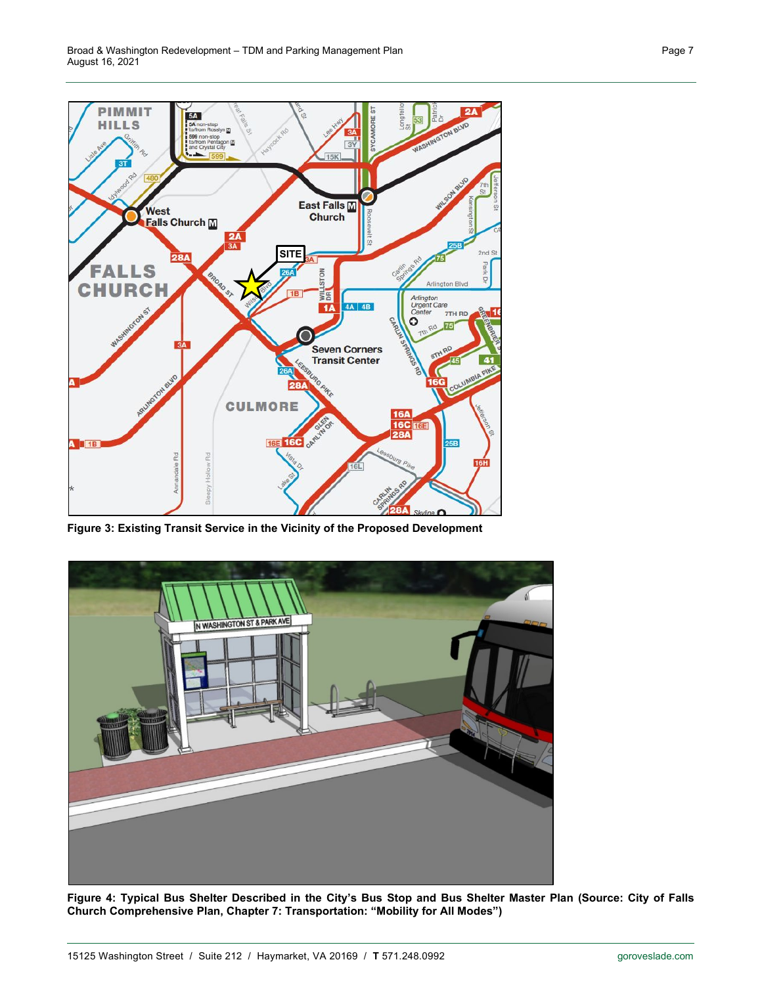

<span id="page-6-0"></span>**Figure 3: Existing Transit Service in the Vicinity of the Proposed Development**

<span id="page-6-1"></span>

**Figure 4: Typical Bus Shelter Described in the City's Bus Stop and Bus Shelter Master Plan (Source: City of Falls Church Comprehensive Plan, Chapter 7: Transportation: "Mobility for All Modes")**

Page 7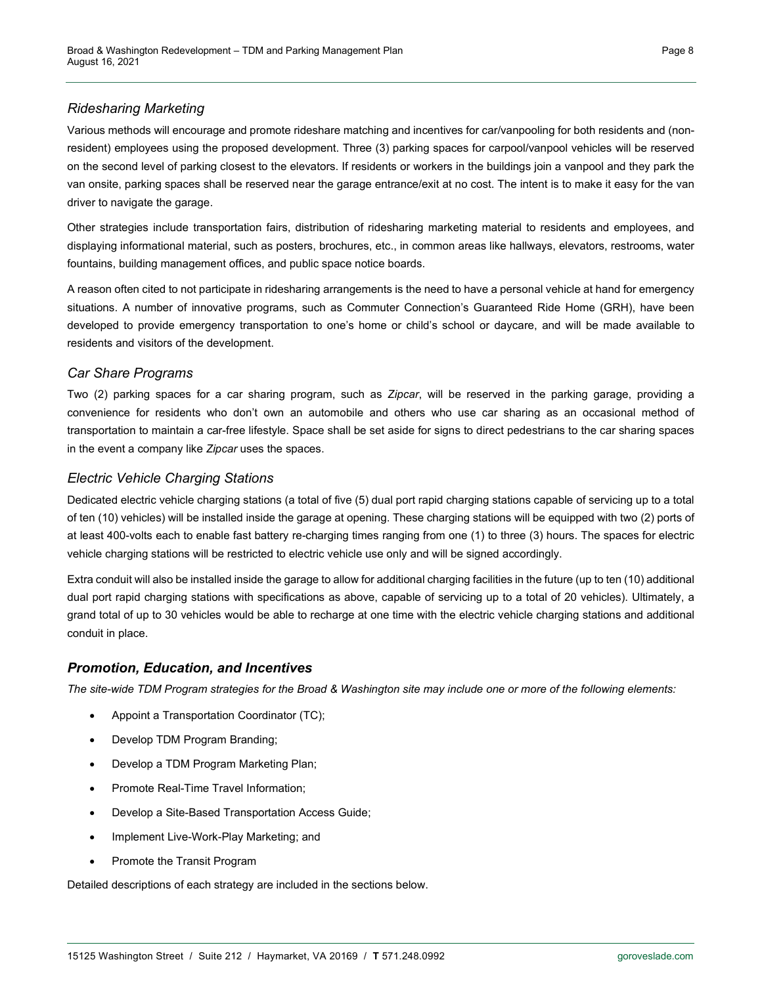#### *Ridesharing Marketing*

Various methods will encourage and promote rideshare matching and incentives for car/vanpooling for both residents and (nonresident) employees using the proposed development. Three (3) parking spaces for carpool/vanpool vehicles will be reserved on the second level of parking closest to the elevators. If residents or workers in the buildings join a vanpool and they park the van onsite, parking spaces shall be reserved near the garage entrance/exit at no cost. The intent is to make it easy for the van driver to navigate the garage.

Other strategies include transportation fairs, distribution of ridesharing marketing material to residents and employees, and displaying informational material, such as posters, brochures, etc., in common areas like hallways, elevators, restrooms, water fountains, building management offices, and public space notice boards.

A reason often cited to not participate in ridesharing arrangements is the need to have a personal vehicle at hand for emergency situations. A number of innovative programs, such as Commuter Connection's Guaranteed Ride Home (GRH), have been developed to provide emergency transportation to one's home or child's school or daycare, and will be made available to residents and visitors of the development.

#### *Car Share Programs*

Two (2) parking spaces for a car sharing program, such as *Zipcar*, will be reserved in the parking garage, providing a convenience for residents who don't own an automobile and others who use car sharing as an occasional method of transportation to maintain a car-free lifestyle. Space shall be set aside for signs to direct pedestrians to the car sharing spaces in the event a company like *Zipcar* uses the spaces.

#### *Electric Vehicle Charging Stations*

Dedicated electric vehicle charging stations (a total of five (5) dual port rapid charging stations capable of servicing up to a total of ten (10) vehicles) will be installed inside the garage at opening. These charging stations will be equipped with two (2) ports of at least 400-volts each to enable fast battery re-charging times ranging from one (1) to three (3) hours. The spaces for electric vehicle charging stations will be restricted to electric vehicle use only and will be signed accordingly.

Extra conduit will also be installed inside the garage to allow for additional charging facilities in the future (up to ten (10) additional dual port rapid charging stations with specifications as above, capable of servicing up to a total of 20 vehicles). Ultimately, a grand total of up to 30 vehicles would be able to recharge at one time with the electric vehicle charging stations and additional conduit in place.

#### *Promotion, Education, and Incentives*

*The site-wide TDM Program strategies for the Broad & Washington site may include one or more of the following elements:*

- Appoint a Transportation Coordinator (TC);
- Develop TDM Program Branding;
- Develop a TDM Program Marketing Plan;
- Promote Real-Time Travel Information;
- Develop a Site-Based Transportation Access Guide;
- Implement Live-Work-Play Marketing; and
- Promote the Transit Program

Detailed descriptions of each strategy are included in the sections below.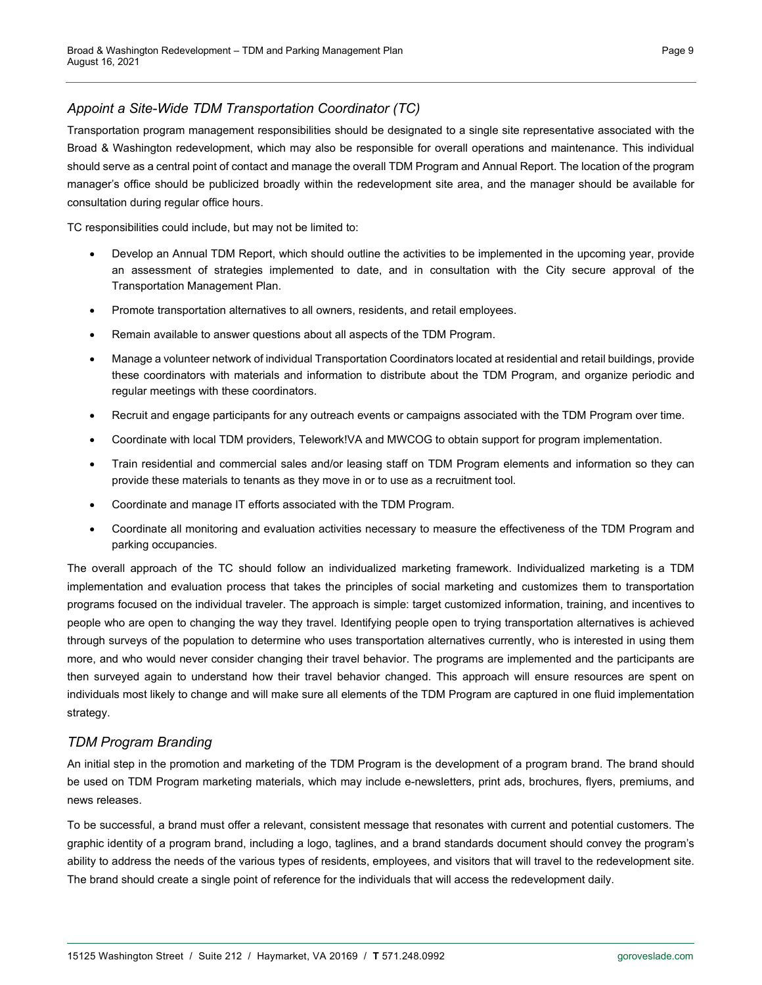#### *Appoint a Site-Wide TDM Transportation Coordinator (TC)*

Transportation program management responsibilities should be designated to a single site representative associated with the Broad & Washington redevelopment, which may also be responsible for overall operations and maintenance. This individual should serve as a central point of contact and manage the overall TDM Program and Annual Report. The location of the program manager's office should be publicized broadly within the redevelopment site area, and the manager should be available for consultation during regular office hours.

TC responsibilities could include, but may not be limited to:

- Develop an Annual TDM Report, which should outline the activities to be implemented in the upcoming year, provide an assessment of strategies implemented to date, and in consultation with the City secure approval of the Transportation Management Plan.
- Promote transportation alternatives to all owners, residents, and retail employees.
- Remain available to answer questions about all aspects of the TDM Program.
- Manage a volunteer network of individual Transportation Coordinators located at residential and retail buildings, provide these coordinators with materials and information to distribute about the TDM Program, and organize periodic and regular meetings with these coordinators.
- Recruit and engage participants for any outreach events or campaigns associated with the TDM Program over time.
- Coordinate with local TDM providers, Telework!VA and MWCOG to obtain support for program implementation.
- Train residential and commercial sales and/or leasing staff on TDM Program elements and information so they can provide these materials to tenants as they move in or to use as a recruitment tool.
- Coordinate and manage IT efforts associated with the TDM Program.
- Coordinate all monitoring and evaluation activities necessary to measure the effectiveness of the TDM Program and parking occupancies.

The overall approach of the TC should follow an individualized marketing framework. Individualized marketing is a TDM implementation and evaluation process that takes the principles of social marketing and customizes them to transportation programs focused on the individual traveler. The approach is simple: target customized information, training, and incentives to people who are open to changing the way they travel. Identifying people open to trying transportation alternatives is achieved through surveys of the population to determine who uses transportation alternatives currently, who is interested in using them more, and who would never consider changing their travel behavior. The programs are implemented and the participants are then surveyed again to understand how their travel behavior changed. This approach will ensure resources are spent on individuals most likely to change and will make sure all elements of the TDM Program are captured in one fluid implementation strategy.

#### *TDM Program Branding*

An initial step in the promotion and marketing of the TDM Program is the development of a program brand. The brand should be used on TDM Program marketing materials, which may include e-newsletters, print ads, brochures, flyers, premiums, and news releases.

To be successful, a brand must offer a relevant, consistent message that resonates with current and potential customers. The graphic identity of a program brand, including a logo, taglines, and a brand standards document should convey the program's ability to address the needs of the various types of residents, employees, and visitors that will travel to the redevelopment site. The brand should create a single point of reference for the individuals that will access the redevelopment daily.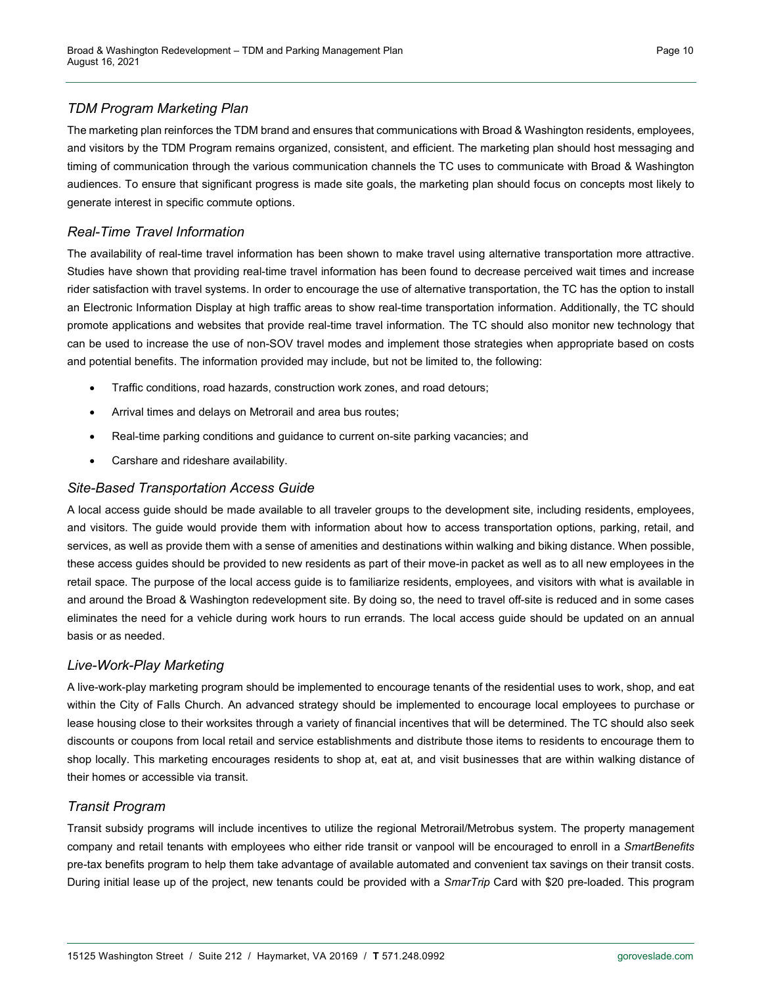#### *TDM Program Marketing Plan*

The marketing plan reinforces the TDM brand and ensures that communications with Broad & Washington residents, employees, and visitors by the TDM Program remains organized, consistent, and efficient. The marketing plan should host messaging and timing of communication through the various communication channels the TC uses to communicate with Broad & Washington audiences. To ensure that significant progress is made site goals, the marketing plan should focus on concepts most likely to generate interest in specific commute options.

#### *Real-Time Travel Information*

The availability of real-time travel information has been shown to make travel using alternative transportation more attractive. Studies have shown that providing real-time travel information has been found to decrease perceived wait times and increase rider satisfaction with travel systems. In order to encourage the use of alternative transportation, the TC has the option to install an Electronic Information Display at high traffic areas to show real-time transportation information. Additionally, the TC should promote applications and websites that provide real-time travel information. The TC should also monitor new technology that can be used to increase the use of non-SOV travel modes and implement those strategies when appropriate based on costs and potential benefits. The information provided may include, but not be limited to, the following:

- Traffic conditions, road hazards, construction work zones, and road detours;
- Arrival times and delays on Metrorail and area bus routes;
- Real-time parking conditions and guidance to current on-site parking vacancies; and
- Carshare and rideshare availability.

#### *Site-Based Transportation Access Guide*

A local access guide should be made available to all traveler groups to the development site, including residents, employees, and visitors. The guide would provide them with information about how to access transportation options, parking, retail, and services, as well as provide them with a sense of amenities and destinations within walking and biking distance. When possible, these access guides should be provided to new residents as part of their move-in packet as well as to all new employees in the retail space. The purpose of the local access guide is to familiarize residents, employees, and visitors with what is available in and around the Broad & Washington redevelopment site. By doing so, the need to travel off-site is reduced and in some cases eliminates the need for a vehicle during work hours to run errands. The local access guide should be updated on an annual basis or as needed.

#### *Live-Work-Play Marketing*

A live-work-play marketing program should be implemented to encourage tenants of the residential uses to work, shop, and eat within the City of Falls Church. An advanced strategy should be implemented to encourage local employees to purchase or lease housing close to their worksites through a variety of financial incentives that will be determined. The TC should also seek discounts or coupons from local retail and service establishments and distribute those items to residents to encourage them to shop locally. This marketing encourages residents to shop at, eat at, and visit businesses that are within walking distance of their homes or accessible via transit.

#### *Transit Program*

Transit subsidy programs will include incentives to utilize the regional Metrorail/Metrobus system. The property management company and retail tenants with employees who either ride transit or vanpool will be encouraged to enroll in a *SmartBenefits* pre-tax benefits program to help them take advantage of available automated and convenient tax savings on their transit costs. During initial lease up of the project, new tenants could be provided with a *SmarTrip* Card with \$20 pre-loaded. This program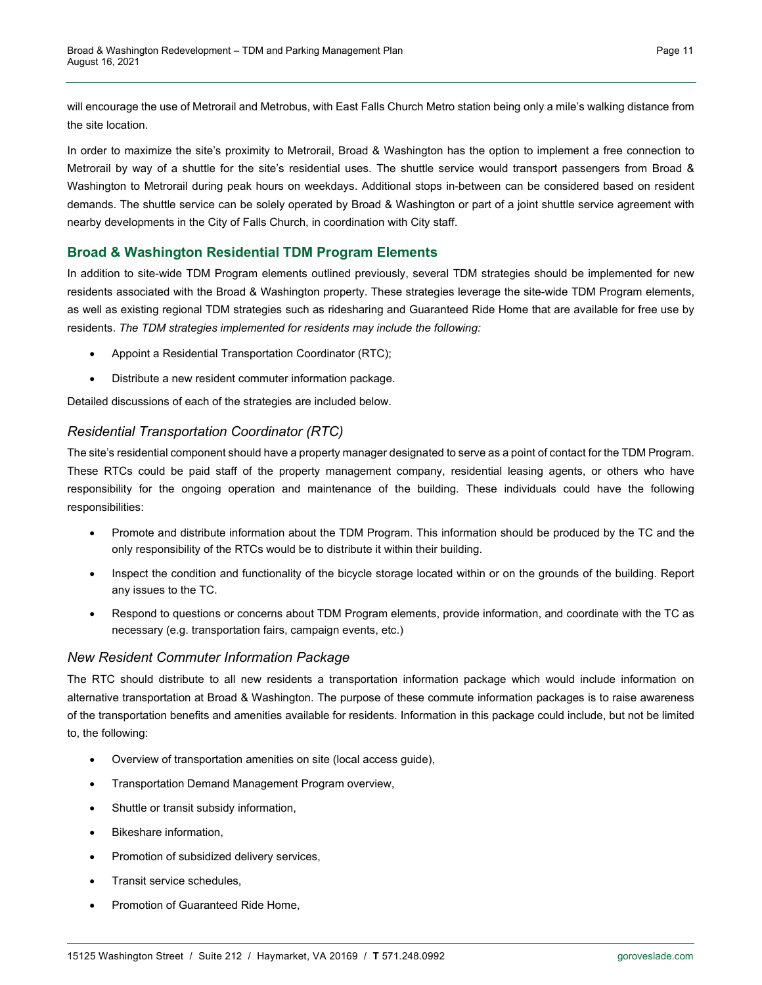will encourage the use of Metrorail and Metrobus, with East Falls Church Metro station being only a mile's walking distance from the site location.

In order to maximize the site's proximity to Metrorail, Broad & Washington has the option to implement a free connection to Metrorail by way of a shuttle for the site's residential uses. The shuttle service would transport passengers from Broad & Washington to Metrorail during peak hours on weekdays. Additional stops in-between can be considered based on resident demands. The shuttle service can be solely operated by Broad & Washington or part of a joint shuttle service agreement with nearby developments in the City of Falls Church, in coordination with City staff.

#### **Broad & Washington Residential TDM Program Elements**

In addition to site-wide TDM Program elements outlined previously, several TDM strategies should be implemented for new residents associated with the Broad & Washington property. These strategies leverage the site-wide TDM Program elements, as well as existing regional TDM strategies such as ridesharing and Guaranteed Ride Home that are available for free use by residents. *The TDM strategies implemented for residents may include the following:*

- Appoint a Residential Transportation Coordinator (RTC);
- Distribute a new resident commuter information package.

Detailed discussions of each of the strategies are included below.

#### *Residential Transportation Coordinator (RTC)*

The site's residential component should have a property manager designated to serve as a point of contact for the TDM Program. These RTCs could be paid staff of the property management company, residential leasing agents, or others who have responsibility for the ongoing operation and maintenance of the building. These individuals could have the following responsibilities:

- Promote and distribute information about the TDM Program. This information should be produced by the TC and the only responsibility of the RTCs would be to distribute it within their building.
- Inspect the condition and functionality of the bicycle storage located within or on the grounds of the building. Report any issues to the TC.
- Respond to questions or concerns about TDM Program elements, provide information, and coordinate with the TC as necessary (e.g. transportation fairs, campaign events, etc.)

#### *New Resident Commuter Information Package*

The RTC should distribute to all new residents a transportation information package which would include information on alternative transportation at Broad & Washington. The purpose of these commute information packages is to raise awareness of the transportation benefits and amenities available for residents. Information in this package could include, but not be limited to, the following:

- Overview of transportation amenities on site (local access guide),
- Transportation Demand Management Program overview,
- Shuttle or transit subsidy information,
- Bikeshare information,
- Promotion of subsidized delivery services,
- Transit service schedules,
- Promotion of Guaranteed Ride Home,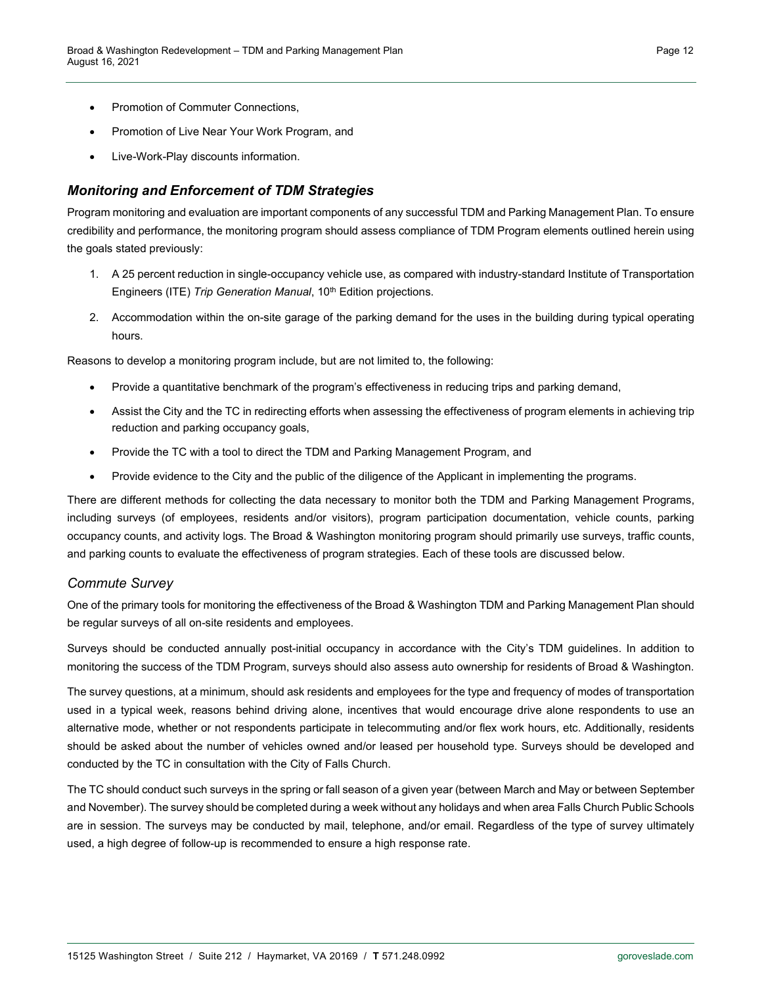- Promotion of Commuter Connections,
- Promotion of Live Near Your Work Program, and
- Live-Work-Play discounts information.

#### *Monitoring and Enforcement of TDM Strategies*

Program monitoring and evaluation are important components of any successful TDM and Parking Management Plan. To ensure credibility and performance, the monitoring program should assess compliance of TDM Program elements outlined herein using the goals stated previously:

- 1. A 25 percent reduction in single-occupancy vehicle use, as compared with industry-standard Institute of Transportation Engineers (ITE) *Trip Generation Manual*, 10<sup>th</sup> Edition projections.
- 2. Accommodation within the on-site garage of the parking demand for the uses in the building during typical operating hours.

Reasons to develop a monitoring program include, but are not limited to, the following:

- Provide a quantitative benchmark of the program's effectiveness in reducing trips and parking demand,
- Assist the City and the TC in redirecting efforts when assessing the effectiveness of program elements in achieving trip reduction and parking occupancy goals,
- Provide the TC with a tool to direct the TDM and Parking Management Program, and
- Provide evidence to the City and the public of the diligence of the Applicant in implementing the programs.

There are different methods for collecting the data necessary to monitor both the TDM and Parking Management Programs, including surveys (of employees, residents and/or visitors), program participation documentation, vehicle counts, parking occupancy counts, and activity logs. The Broad & Washington monitoring program should primarily use surveys, traffic counts, and parking counts to evaluate the effectiveness of program strategies. Each of these tools are discussed below.

#### *Commute Survey*

One of the primary tools for monitoring the effectiveness of the Broad & Washington TDM and Parking Management Plan should be regular surveys of all on-site residents and employees.

Surveys should be conducted annually post-initial occupancy in accordance with the City's TDM guidelines. In addition to monitoring the success of the TDM Program, surveys should also assess auto ownership for residents of Broad & Washington.

The survey questions, at a minimum, should ask residents and employees for the type and frequency of modes of transportation used in a typical week, reasons behind driving alone, incentives that would encourage drive alone respondents to use an alternative mode, whether or not respondents participate in telecommuting and/or flex work hours, etc. Additionally, residents should be asked about the number of vehicles owned and/or leased per household type. Surveys should be developed and conducted by the TC in consultation with the City of Falls Church.

The TC should conduct such surveys in the spring or fall season of a given year (between March and May or between September and November). The survey should be completed during a week without any holidays and when area Falls Church Public Schools are in session. The surveys may be conducted by mail, telephone, and/or email. Regardless of the type of survey ultimately used, a high degree of follow-up is recommended to ensure a high response rate.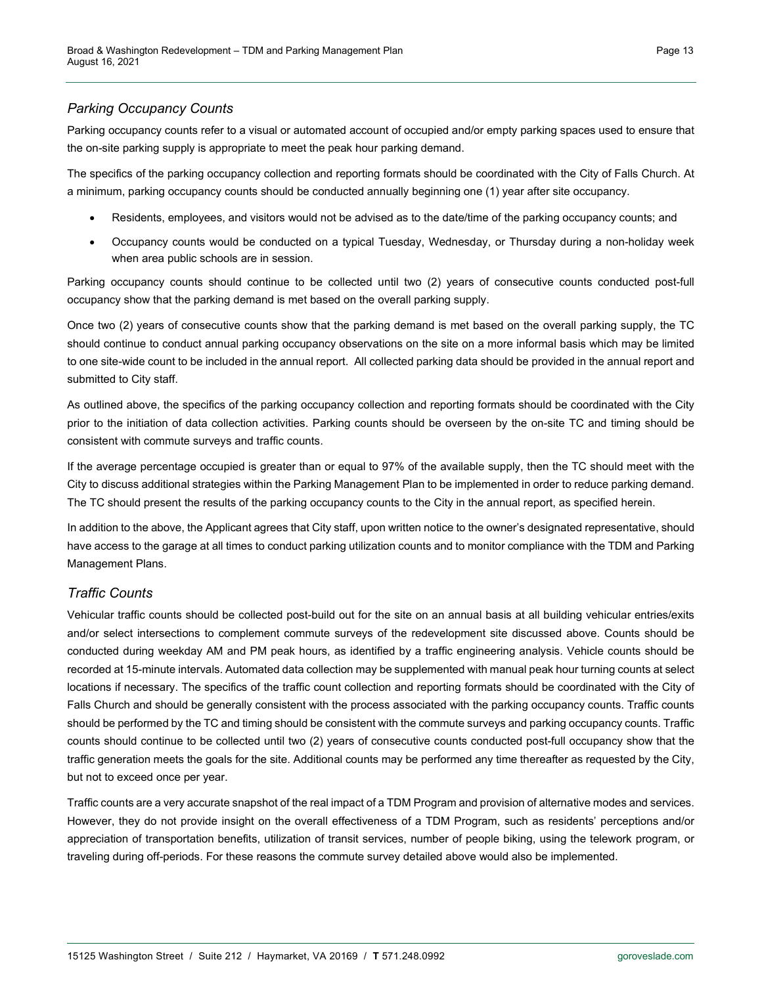#### *Parking Occupancy Counts*

Parking occupancy counts refer to a visual or automated account of occupied and/or empty parking spaces used to ensure that the on-site parking supply is appropriate to meet the peak hour parking demand.

The specifics of the parking occupancy collection and reporting formats should be coordinated with the City of Falls Church. At a minimum, parking occupancy counts should be conducted annually beginning one (1) year after site occupancy.

- Residents, employees, and visitors would not be advised as to the date/time of the parking occupancy counts; and
- Occupancy counts would be conducted on a typical Tuesday, Wednesday, or Thursday during a non-holiday week when area public schools are in session.

Parking occupancy counts should continue to be collected until two (2) years of consecutive counts conducted post-full occupancy show that the parking demand is met based on the overall parking supply.

Once two (2) years of consecutive counts show that the parking demand is met based on the overall parking supply, the TC should continue to conduct annual parking occupancy observations on the site on a more informal basis which may be limited to one site-wide count to be included in the annual report. All collected parking data should be provided in the annual report and submitted to City staff.

As outlined above, the specifics of the parking occupancy collection and reporting formats should be coordinated with the City prior to the initiation of data collection activities. Parking counts should be overseen by the on-site TC and timing should be consistent with commute surveys and traffic counts.

If the average percentage occupied is greater than or equal to 97% of the available supply, then the TC should meet with the City to discuss additional strategies within the Parking Management Plan to be implemented in order to reduce parking demand. The TC should present the results of the parking occupancy counts to the City in the annual report, as specified herein.

In addition to the above, the Applicant agrees that City staff, upon written notice to the owner's designated representative, should have access to the garage at all times to conduct parking utilization counts and to monitor compliance with the TDM and Parking Management Plans.

#### *Traffic Counts*

Vehicular traffic counts should be collected post-build out for the site on an annual basis at all building vehicular entries/exits and/or select intersections to complement commute surveys of the redevelopment site discussed above. Counts should be conducted during weekday AM and PM peak hours, as identified by a traffic engineering analysis. Vehicle counts should be recorded at 15-minute intervals. Automated data collection may be supplemented with manual peak hour turning counts at select locations if necessary. The specifics of the traffic count collection and reporting formats should be coordinated with the City of Falls Church and should be generally consistent with the process associated with the parking occupancy counts. Traffic counts should be performed by the TC and timing should be consistent with the commute surveys and parking occupancy counts. Traffic counts should continue to be collected until two (2) years of consecutive counts conducted post-full occupancy show that the traffic generation meets the goals for the site. Additional counts may be performed any time thereafter as requested by the City, but not to exceed once per year.

Traffic counts are a very accurate snapshot of the real impact of a TDM Program and provision of alternative modes and services. However, they do not provide insight on the overall effectiveness of a TDM Program, such as residents' perceptions and/or appreciation of transportation benefits, utilization of transit services, number of people biking, using the telework program, or traveling during off-periods. For these reasons the commute survey detailed above would also be implemented.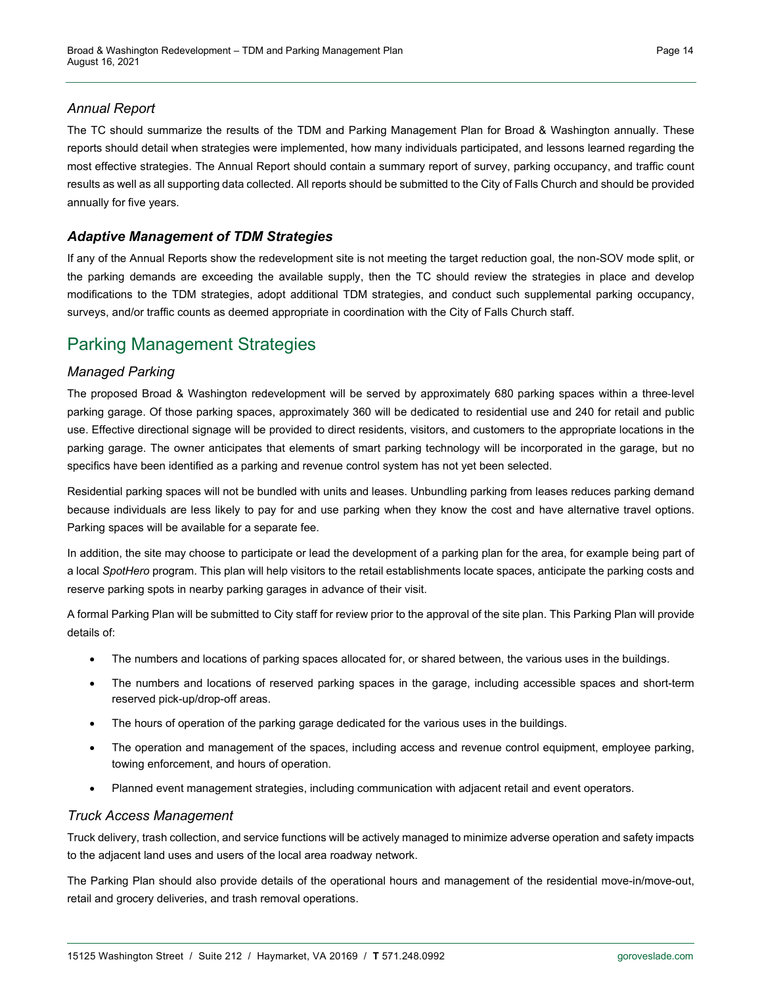#### *Annual Report*

The TC should summarize the results of the TDM and Parking Management Plan for Broad & Washington annually. These reports should detail when strategies were implemented, how many individuals participated, and lessons learned regarding the most effective strategies. The Annual Report should contain a summary report of survey, parking occupancy, and traffic count results as well as all supporting data collected. All reports should be submitted to the City of Falls Church and should be provided annually for five years.

#### *Adaptive Management of TDM Strategies*

If any of the Annual Reports show the redevelopment site is not meeting the target reduction goal, the non-SOV mode split, or the parking demands are exceeding the available supply, then the TC should review the strategies in place and develop modifications to the TDM strategies, adopt additional TDM strategies, and conduct such supplemental parking occupancy, surveys, and/or traffic counts as deemed appropriate in coordination with the City of Falls Church staff.

### Parking Management Strategies

#### *Managed Parking*

The proposed Broad & Washington redevelopment will be served by approximately 680 parking spaces within a three-level parking garage. Of those parking spaces, approximately 360 will be dedicated to residential use and 240 for retail and public use. Effective directional signage will be provided to direct residents, visitors, and customers to the appropriate locations in the parking garage. The owner anticipates that elements of smart parking technology will be incorporated in the garage, but no specifics have been identified as a parking and revenue control system has not yet been selected.

Residential parking spaces will not be bundled with units and leases. Unbundling parking from leases reduces parking demand because individuals are less likely to pay for and use parking when they know the cost and have alternative travel options. Parking spaces will be available for a separate fee.

In addition, the site may choose to participate or lead the development of a parking plan for the area, for example being part of a local *SpotHero* program. This plan will help visitors to the retail establishments locate spaces, anticipate the parking costs and reserve parking spots in nearby parking garages in advance of their visit.

A formal Parking Plan will be submitted to City staff for review prior to the approval of the site plan. This Parking Plan will provide details of:

- The numbers and locations of parking spaces allocated for, or shared between, the various uses in the buildings.
- The numbers and locations of reserved parking spaces in the garage, including accessible spaces and short-term reserved pick-up/drop-off areas.
- The hours of operation of the parking garage dedicated for the various uses in the buildings.
- The operation and management of the spaces, including access and revenue control equipment, employee parking, towing enforcement, and hours of operation.
- Planned event management strategies, including communication with adjacent retail and event operators.

#### *Truck Access Management*

Truck delivery, trash collection, and service functions will be actively managed to minimize adverse operation and safety impacts to the adjacent land uses and users of the local area roadway network.

The Parking Plan should also provide details of the operational hours and management of the residential move-in/move-out, retail and grocery deliveries, and trash removal operations.